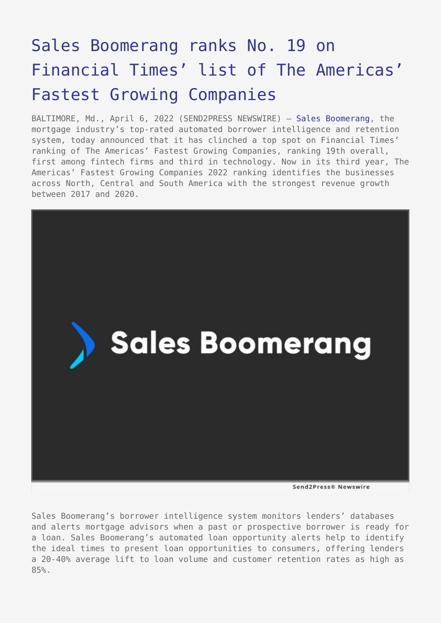## [Sales Boomerang ranks No. 19 on](https://www.send2press.com/wire/sales-boomerang-ranks-no-19-on-financial-times-list-of-the-americas-fastest-growing-companies/) [Financial Times' list of The Americas'](https://www.send2press.com/wire/sales-boomerang-ranks-no-19-on-financial-times-list-of-the-americas-fastest-growing-companies/) [Fastest Growing Companies](https://www.send2press.com/wire/sales-boomerang-ranks-no-19-on-financial-times-list-of-the-americas-fastest-growing-companies/)

BALTIMORE, Md., April 6, 2022 (SEND2PRESS NEWSWIRE) — [Sales Boomerang](https://www.salesboomerang.com/), the mortgage industry's top-rated automated borrower intelligence and retention system, today announced that it has clinched a top spot on Financial Times' ranking of The Americas' Fastest Growing Companies, ranking 19th overall, first among fintech firms and third in technology. Now in its third year, The Americas' Fastest Growing Companies 2022 ranking identifies the businesses across North, Central and South America with the strongest revenue growth between 2017 and 2020.



Sales Boomerang's borrower intelligence system monitors lenders' databases and alerts mortgage advisors when a past or prospective borrower is ready for a loan. Sales Boomerang's automated loan opportunity alerts help to identify the ideal times to present loan opportunities to consumers, offering lenders a 20-40% average lift to loan volume and customer retention rates as high as 85%.